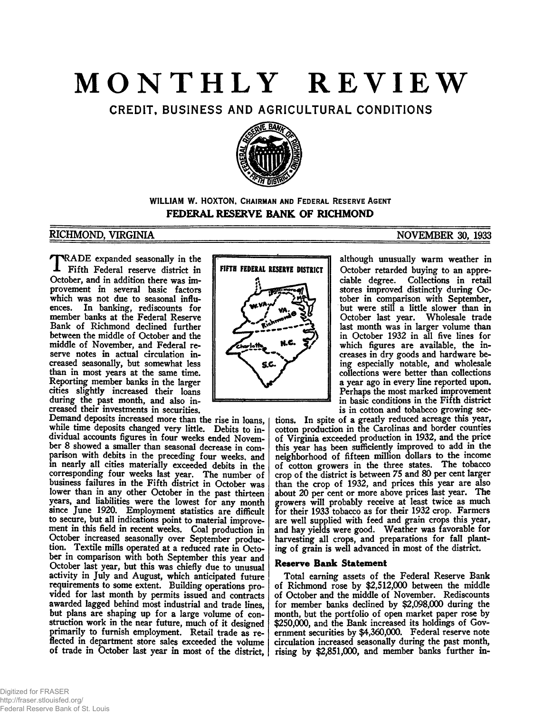# **MONTHLY REVIEW**

CREDIT, BUSINESS AND AGRICULTURAL CONDITIONS



## WILLIAM W. HOXTON, CHAIRMAN AND FEDERAL RESERVE AGENT **FEDERAL RESERVE BANK OF RICHMOND**

# **RICHMOND, VIRGINIA NOVEMBER 30, 1933**

 $T_{\rm octo}$ RADE expanded seasonally in the Fifth Federal reserve district in October, and in addition there was improvement in several basic factors which was not due to seasonal influences. In banking, rediscounts for member banks at the Federal Reserve Bank of Richmond declined further between the middle of October and the middle of November, and Federal reserve notes in actual circulation increased seasonally, but somewhat less than in most years at the same time. Reporting member banks in the larger cities slightly increased their loans during the past month, and also increased their investments in securities.

Demand deposits increased more than the rise in loans, while time deposits changed very little. Debits to individual accounts figures in four weeks ended November 8 showed a smaller than seasonal decrease in comparison with debits in the preceding four weeks, and in nearly all cities materially exceeded debits in the corresponding four weeks last year. The number of business failures in the Fifth district in October was lower than in any other October in the past thirteen years, and liabilities were the lowest for any month since June 1920. Employment statistics are difficult to secure, but all indications point to material improvement in this field in recent weeks. Coal production in October increased seasonally over September production. Textile mills operated at a reduced rate in October in comparison with both September this year and October last year, but this was chiefly due to unusual activity in July and August, which anticipated future requirements to some extent. Building operations provided for last month by permits issued and contracts awarded lagged behind most industrial and trade lines, but plans are shaping up for a large volume of construction work in the near future, much of it designed primarily to furnish employment. Retail trade as reflected in department store sales exceeded the volume of trade in October last year in most of the district,



although unusually warm weather in October retarded buying to an appreciable degree. Collections in retail stores improved distinctly during October in comparison with September, but were still a little slower than in October last year. Wholesale trade last month was in larger volume than in October 1932 in all five lines for which figures are available, the increases in dry goods and hardware being especially notable, and wholesale collections were better than collections a year ago in every line reported upon. Perhaps the most marked improvement in basic conditions in the Fifth district is in cotton and tobabcco growing sec-

tions. In spite of a greatly reduced acreage this year, cotton production in the Carolinas and border counties of Virginia exceeded production in 1932, and the price this year has been sufficiently improved to add in the neighborhood of fifteen million dollars to the income of cotton growers in the three states. The tobacco crop of the district is between 75 and 80 per cent larger than the crop of 1932, and prices this year are also about 20 per cent or more above prices last year. The growers will probably receive at least twice as much for their 1933 tobacco as for their 1932 crop. Farmers are well supplied with feed and grain crops this year, and hay yields were good. Weather was favorable for harvesting all crops, and preparations for fall planting of grain is well advanced in most of the district.

## **Reserve Bank Statement**

Total earning assets of the Federal Reserve Bank of Richmond rose by \$2,512,000 between the middle of October and the middle of November. Rediscounts for member banks declined by \$2,098,000 during the month, but the portfolio of open market paper rose by \$250,000, and the Bank increased its holdings of Government securities by \$4,360,000. Federal reserve note circulation increased seasonally during the past month, rising by \$2,851,000, and member banks further in-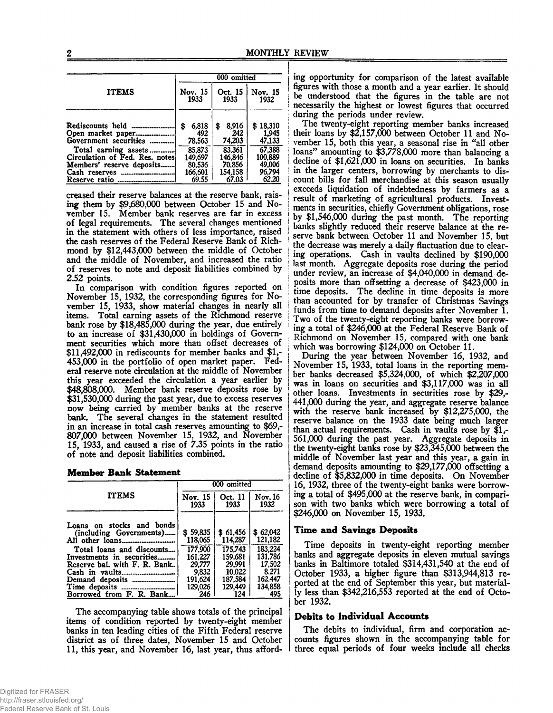|                                                                                     |                              | 000 omitted                  |                             |
|-------------------------------------------------------------------------------------|------------------------------|------------------------------|-----------------------------|
| <b>ITEMS</b>                                                                        | Nov. 15<br>1933              | Oct. 15<br>1933              | Nov. 15<br>1932             |
| Rediscounts held<br>Open market paper<br>Government securities                      | 6,818<br>\$<br>492<br>78.563 | 8.916<br>\$<br>242<br>74,203 | \$18,310<br>1,945<br>47,133 |
| Total earning assets<br>Circulation of Fed. Res. notes<br>Members' reserve deposits | 85,873<br>149.697<br>80,536  | 83.361<br>146.846<br>70,856  | 67,388<br>100,889<br>49,006 |
| Cash reserves<br>*****************************<br>Reserve ratio                     | 166.601<br>69.55             | 154.158<br>67.03             | 96.794<br>62.20             |

creased their reserve balances at the reserve bank, raising them by \$9,680,000 between October 15 and November 15. Member bank reserves are far in excess of legal requirements. The several changes mentioned in the statement with others of less importance, raised the cash reserves of the Federal Reserve Bank of Richmond by \$12,443,000 between the middle of October and the middle of November, and increased the ratio of reserves to note and deposit liabilities combined by 2.52 points.

In comparison with condition figures reported on November 15, 1932, the corresponding figures for November 15, 1933, show material changes in nearly all items. Total earning assets of the Richmond reserve bank rose by \$18,485,000 during the year, due entirely to an increase of \$31,430,000 in holdings of Government securities which more than offset decreases of \$11,492,000 in rediscounts for member banks and \$1,- 453.000 in the portfolio of open market paper. Federal reserve note circulation at the middle of November this year exceeded the circulation a year earlier by \$48,808,000. Member bank reserve deposits rose by \$31,530,000 during the past year, due to excess reserves now being carried by member banks at the reserve bank. The several changes in the statement resulted in an increase in total cash reserves amounting to \$69,- 807.000 between November 15, 1932, and November 15, 1933, and caused a rise of 7.35 points in the ratio of note and deposit liabilities combined.

|  | <b>Member Bank Statement</b> |
|--|------------------------------|
|  |                              |

|                                                      | 000 omitted         |                     |                     |  |
|------------------------------------------------------|---------------------|---------------------|---------------------|--|
| <b>ITEMS</b>                                         | Nov. 15             | Oct. 11             | Nov. 16             |  |
|                                                      | 1933                | 1933                | 1932                |  |
| Loans on stocks and bonds<br>(including Governments) | \$59.835<br>118,065 | \$61.456<br>114.287 | \$62,042<br>121,182 |  |
| Total loans and discounts                            | 177.900             | 175.743             | 183,224             |  |
| Investments in securities                            | 161.227             | 159.681             | 131.786             |  |
| Reserve bal. with F. R. Bank                         | 29,777              | 29.991              | 17,502              |  |
|                                                      | 9.832               | 10.022              | 8.271               |  |
|                                                      | 191,624             | 187,584             | 162.447             |  |
|                                                      | 129.026             | 129,449             | 134,858             |  |
| Borrowed from F. R. Bank                             | 246                 | 124                 | 495                 |  |

The accompanying table shows totals of the principal items of condition reported by twenty-eight member banks in ten leading cities of the Fifth Federal reserve district as of three dates, November 15 and October 11, this year, and November 16, last year, thus affording opportunity for comparison of the latest available figures with those a month and a year earlier. It should be understood that the figures in the table are not necessarily the highest or lowest figures that occurred during the periods under review.

The twenty-eight reporting member banks increased their loans by \$2,157,000 between October 11 and November 15, both this year, a seasonal rise in "all other loans" amounting to  $$3,778,000$  more than balancing a decline of \$1,621,000 in loans on securities. In banks in the larger centers, borrowing by merchants to discount bills for fall merchandise at this season usually exceeds liquidation of indebtedness by farmers as a result of marketing of agricultural products. Investments in securities, chiefly Government obligations, rose by \$1,546,000 during the past month. The reporting banks slightly reduced their reserve balance at the reserve bank between October 11 and November 15, but the decrease was merely a daily fluctuation due to clearing operations. Cash in vaults declined by \$190,000 last month. Aggregate deposits rose during the period under review, an increase of \$4,040,000 in demand de-| posits more than offsetting a decrease of \$423,000 in time deposits. The decline in time deposits is more than accounted for by transfer of Christmas Savings funds from time to demand deposits after November 1. Two of the twenty-eight reporting banks were borrowing a total of \$246,000 at the Federal Reserve Bank of Richmond on November 15, compared with one bank j which was borrowing \$124,000 on October 11.

I During the year between November 16, 1932, and November 15, 1933, total loans in the reporting member banks decreased \$5,324,000, of which \$2,207,000 was in loans on securities and \$3,117,000 was in all other loans. Investments in securities rose by \$29,-441.000 during the year, and aggregate reserve balance with the reserve bank increased by \$12,275,000, the reserve balance on the 1933 date being much larger than actual requirements. Cash in vaults rose by  $\tilde{\mathfrak{gl}}$ ,-561.000 during the past year. Aggregate deposits in the twenty-eight banks rose by \$23,345,000 between the middle of November last year and this year, a gain in demand deposits amounting to \$29,177,000 offsetting a decline of \$5,832,000 in time deposits. On November 16, 1932, three of the twenty-eight banks were borrowing a total of \$495,000 at the reserve bank, in comparison with two banks which were borrowing a total of \$246,000 on November 15, 1933.

#### **Time and Savings Deposits**

Time deposits in twenty-eight reporting member banks and aggregate deposits in eleven mutual savings banks in Baltimore totaled \$314,431,540 at the end of October 1933, a higher figure than \$313,944,813 reported at the end of September this year, but materially less than \$342,216,553 reported at the end of October 1932.

#### **Debits to Individual Accounts**

The debits to individual, firm and corporation accounts figures shown in the accompanying table for three equal periods of four weeks include all checks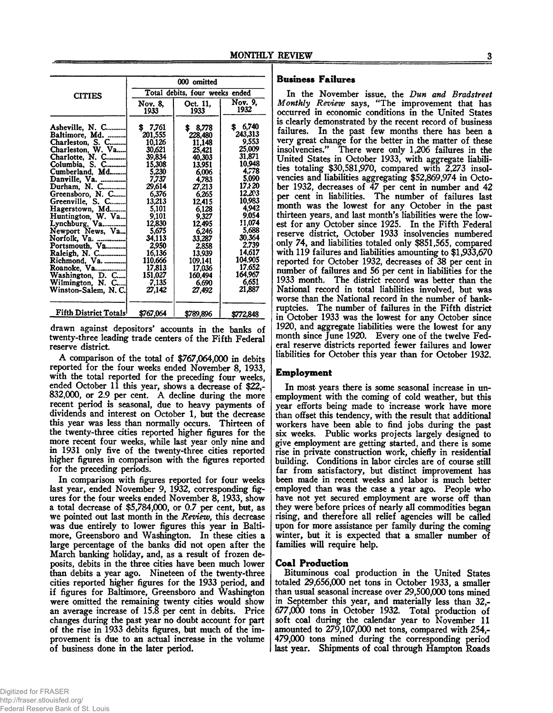|                                                      | 000 omitted                |                                |                             |  |  |
|------------------------------------------------------|----------------------------|--------------------------------|-----------------------------|--|--|
| <b>CITIES</b>                                        |                            | Total debits, four weeks ended |                             |  |  |
|                                                      | Nov. 8,<br>1933            | Oct. 11,<br>1933               | Nov. 9.<br>1932             |  |  |
| Asheville, N. C<br>Baltimore, Md.                    | 7,761<br>S.<br>201,555     | 8,778<br>228,480               | 6,740<br>243,313            |  |  |
| Charleston, S. C<br>Charleston, W. Va                | 10.126<br>30,621           | 11.148<br>25,421               | 9.553<br>25,009             |  |  |
| Charlotte, N. C<br>Columbia, S. C                    | 39,834<br>15,308           | 40,303<br>13.951               | 31,871<br>10,948            |  |  |
| Cumberland, Md<br>Danville, Va.                      | 5.230<br>7.737             | 6,006<br>4,783                 | 4,778<br>5.090              |  |  |
| Durham, N. C<br>Greensboro, N. C<br>Greenville, S. C | 29,614<br>6,376<br>13,213  | 27,213<br>6.265                | 17.820<br>12.203<br>10,983  |  |  |
| Hagerstown, Md<br>Huntington, W. Va                  | 5.101<br>9,101             | 12,415<br>6.128<br>9,327       | 4.942<br>9,054              |  |  |
| Lynchburg, Va<br>Newport News, Va                    | 12,830<br>5,675            | 12,495<br>6,246                | 11,074<br>5,688             |  |  |
| Norfolk, Va.<br>Portsmouth, Va                       | 34.113<br>2.950            | 33,287<br>2.858                | 30,364<br>2.739             |  |  |
| Raleigh, N. C<br>Richmond, Va.                       | 16,136<br>110.666          | 13,939<br>109.141              | 14,617<br>104.905<br>17.652 |  |  |
| Roanoke, Va<br>Washington, D. C<br>Wilmington, N. C  | 17.813<br>151,027<br>7.135 | 17,036<br>160,494<br>6.690     | 164,967<br>6,651            |  |  |
| Winston-Salem, N.C.                                  | 27,142                     | 27,492                         | 21,887                      |  |  |
| Fifth District Totals <sup>1</sup>                   | \$767,064                  | \$789,896                      | \$772,848                   |  |  |

drawn against depositors' accounts in the banks of twenty-three leading trade centers of the Fifth Federal reserve district.

A comparison of the total of \$767,064,000 in debits reported for the four weeks ended November 8, 1933, with the total reported for the preceding four weeks, ended October 11 this year, shows a decrease of \$22,- 832,000, or 2.9 per cent. A decline during the more recent period is seasonal, due to heavy payments of dividends and interest on October 1, but the decrease this year was less than normally occurs. Thirteen of the twenty-three cities reported higher figures for the more recent four weeks, while last year only nine and in 1931 only five of the twenty-three cities reported higher figures in comparison with the figures reported for the preceding periods.

In comparison with figures reported for four weeks last year, ended November *9,* 1932, corresponding figures for the four weeks ended November 8, 1933, show a total decrease of \$5,784,000, or 0.7 per cent, but, as we pointed out last month in the *Review,* this decrease was due entirely to lower figures this year in Baltimore, Greensboro and Washington. In these cities a large percentage of the banks did not open after the March banking holiday, and, as a result of frozen deposits, debits in the three cities have been much lower than debits a year ago. Nineteen of the twenty-three cities reported higher figures for the 1933 period, and if figures for Baltimore, Greensboro and Washington were omitted the remaining twenty cities would show an average increase of 15.8 per cent in debits. Price changes during the past year no doubt account for part of the rise in 1933 debits figures, but much of the improvement is due to an actual increase in the volume of business done in the later period.

## **Business Failures**

In the November issue, the *Dun and Bradstreet Monthly Review* says, "The improvement that has occurred in economic conditions in the United States is clearly demonstrated by the recent record of business failures. In the past few months there has been a very great change for the better in the matter of these insolvencies." There were only 1,206 failures in the United States in October 1933, with aggregate liabilities totaling \$30,581,970, compared with 2,273 insolvencies and liabilities aggregating \$52,869,974 in October 1932, decreases of 47 per cent in number and 42 per cent in liabilities. The number of failures last month was the lowest for any October in the past thirteen years, and last month's liabilities were the lowest for any October since 1925. In the Fifth Federal reserve district, October 1933 insolvencies numbered only 74, and liabilities totaled only \$851,565, compared with 119 failures and liabilities amounting to \$1,933,670 reported for October 1932, decreases of 38 per cent in number of failures and 56 per cent in liabilities for the 1933 month. The district record was better than the National record in total liabilities involved, but was worse than the National record in the number of bankruptcies. The number of failures in the Fifth district in October 1933 was the lowest for any October since 1920, and aggregate liabilities were the lowest for any month since June 1920. Every one of the twelve Federal reserve districts reported fewer failures and lower liabilities for October this year than for October 1932.

#### **Employment**

In most years there is some seasonal increase in unemployment with the coming of cold weather, but this year efforts being made to increase work have more than offset this tendency, with the result that additional workers have been able to find jobs during the past six weeks. Public works projects largely designed to give employment are getting started, and there is some rise in private construction work, chiefly in residential building. Conditions in labor circles are of course still far from satisfactory, but distinct improvement has been made in recent weeks and labor is much better employed than was the case a year ago. People who have not yet secured employment are worse off than they were before prices of nearly all commodities began rising, and therefore all relief agencies will be called upon for more assistance per family during the coming winter, but it is expected that a smaller number of families will require help.

#### **Coal Production**

Bituminous coal production in the United States totaled 29,656,000 net tons in October 1933, a smaller than usual seasonal increase over 29,500,000 tons mined in September this year, and materially less than 32,- 677.000 tons in October 1932. Total production of soft coal during the calendar year to November 11 amounted to 279,107,000 net tons, compared with 254,- 479.000 tons mined during the corresponding period last year. Shipments of coal through Hampton Roads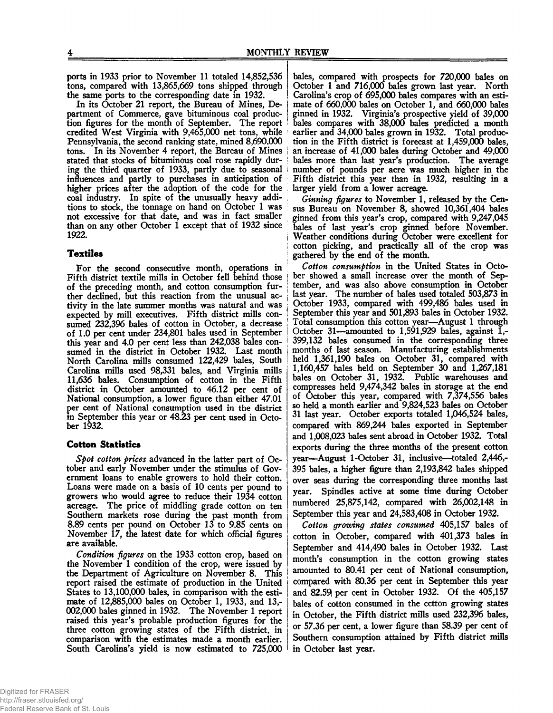ports in 1933 prior to November 11 totaled 14,852,536 tons, compared with 13,865,669 tons shipped through the same ports to the corresponding date in 1932.

In its October 21 report, the Bureau of Mines, Department of Commerce, gave bituminous coal production figures for the month of September. The report credited West Virginia with 9,465,000 net tons, while Pennsylvania, the second ranking state, mined 8,690,000 tons. In its November 4 report, the Bureau of Mines stated that stocks of bituminous coal rose rapidly during the third quarter of 1933, partly due to seasonal influences and partly to purchases in anticipation of higher prices after the adoption of the code for the coal industry. In spite of the unusually heavy additions to stock, the tonnage on hand on October 1 was not excessive for that date, and was in fact smaller than on any other October 1 except that of 1932 since 1922.

## **Textiles**

For the second consecutive month, operations in Fifth district textile mills in October fell behind those of the preceding month, and cotton consumption further declined, but this reaction from the unusual activity in the late summer months was natural and was expected by mill executives. Fifth district mills consumed 232,396 bales of cotton in October, a decrease of 1.0 per cent under 234,801 bales used in September this year and 4.0 per cent less than 242,038 bales consumed in the district in October 1932. Last month North Carolina mills consumed 122,429 bales, South Carolina mills used 98,331 bales, and Virginia mills 11,636 bales. Consumption of cotton in the Fifth district in October amounted to 46.12 per cent of National consumption, a lower figure than either 47.01 per cent of National consumption used in the district in September this year or 48.23 per cent used in October 1932.

#### **Cotton Statistics**

*Spot cotton prices* advanced in the latter part of October and early November under the stimulus of Government loans to enable growers to hold their cotton. Loans were made on a basis of 10 cents per pound to growers who would agree to reduce their 1934 cotton acreage. The price of middling grade cotton on ten Southern markets rose during the past month from 8.89 cents per pound on October 13 to 9.85 cents on November 17, the latest date for which official figures are available.

*Condition figures* on the 1933 cotton crop, based on the November 1 condition of the crop, were issued by the Department of Agriculture on November 8. This report raised the estimate of production in the United States to 13,100,000 bales, in comparison with the estimate of 12,885,000 bales on October 1, 1933, and 13,- 002,000 bales ginned in 1932. The November 1 report raised this year's probable production figures for the three cotton growing states of the Fifth district, in comparison with the estimates made a month earlier. South Carolina's yield is now estimated to 725,000

bales, compared with prospects for 720,000 bales on October 1 and 716,000 bales grown last year. North Carolina's crop of 695,000 bales compares with an estimate of 660,000 bales on October 1, and 660,000 bales ginned in 1932. Virginia's prospective yield of 39,000 ; bales compares with 38,000 bales predicted a month earlier and 34,000 bales grown in 1932. Total production in the Fifth district is forecast at 1,459,000 bales, an increase of 41,000 bales during October and 49,000 bales more than last year's production. The average number of pounds per acre was much higher in the Fifth district this year than in 1932, resulting in a larger yield from a lower acreage.

*Ginning figures* to November 1, released by the Census Bureau on November 8, showed 10,361,404 bales ginned from this year's crop, compared with 9,247,045 bales of last year's crop ginned before November, i Weather conditions during October were excellent for cotton picking, and practically all of the crop was gathered by the end of the month.

*Cotton consumption* in the United States in October showed a small increase over the month of September, and was also above consumption in October last year. The number of bales used totaled 503,873 in ; October 1933, compared with 499,486 bales used in September this year and 501,893 bales in October 1932. Total consumption this cotton year—August 1 through October 31—amounted to 1,591,929 bales, against  $\tilde{I}$ ,-399,132 bales consumed in the corresponding three months of last season. Manufacturing establishments held 1,361,190 bales on October 31, compared with 1,160,457 bales held on September 30 and 1,267,181 bales on October 31, 1932. Public warehouses and compresses held 9,474,342 bales in storage at the end of October this year, compared with 7,374,556 bales so held a month earlier and 9,824,523 bales on October 31 last year. October exports totaled 1,046,524 bales, compared with 869,244 bales exported in September and 1,008,023 bales sent abroad in October 1932. Total exports during the three months of the present cotton year—August 1-October 31, inclusive—totaled 2,446,- 395 bales, a higher figure than 2,193,842 bales shipped over seas during the corresponding three months last year. Spindles active at some time during October numbered 25,875,142, compared with 26,002,148 in September this year and 24,583,408 in October 1932.

*Cotton growing states consumed* 405,157 bales of cotton in October, compared with 401,373 bales in September and 414,490 bales in October 1932. Last month's consumption in the cotton growing states amounted to 80.41 per cent of National consumption, compared with 80.36 per cent in September this year and  $82.59$  per cent in October 1932. Of the 405,157 bales of cotton consumed in the cctton growing states in October, the Fifth district mills used 232,396 bales, or 57.36 per cent, a lower figure than 58.39 per cent of Southern consumption attained by Fifth district mills in October last year.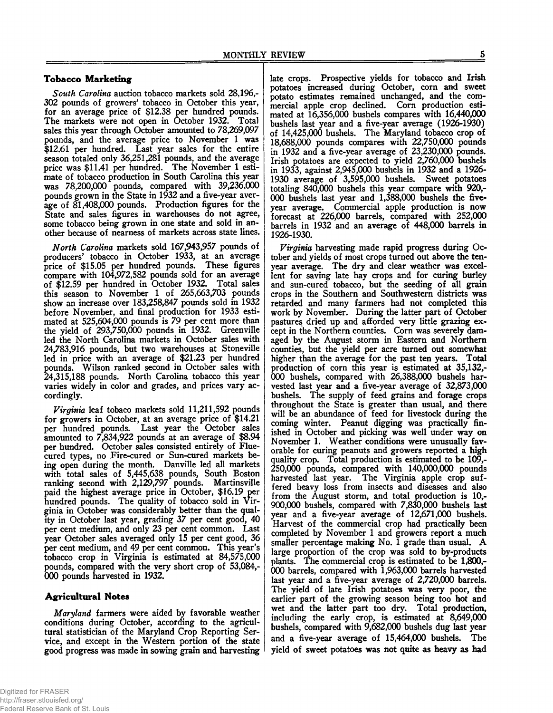## **Tobacco Marketing**

*South Carolina* auction tobacco markets sold 28,196,- 302 pounds of growers' tobacco in October this year, for an average price of \$12.38 per hundred pounds. The markets were not open in October 1932. Total sales this year through October amounted to 78,269,097 pounds, and the average price to November 1 was \$12.61 per hundred. Last year sales for the entire season totaled only 36,251,281 pounds, and the average price was \$11.41 per hundred. The November 1 estimate of tobacco production in South Carolina this year was 78,200,000 pounds, compared with 39,236,000 pounds grown in the State in 1932 and a five-year average of 81,408,000 pounds. Production figures for the State and sales figures in warehouses do not agree, some tobacco being grown in one state and sold in another because of nearness of markets across state lines.

*North Carolina* markets sold 167,943,957 pounds of producers' tobacco in October 1933, at an average price of \$15.05 per hundred pounds. These figures compare with 104,972,582 pounds sold for an average of \$12.59 per hundred in October 1932. Total sales this season to November 1 of 265,663,703 pounds show an increase over 183,258,847 pounds sold in 1932 before November, and final production for 1933 estimated at 525,604,000 pounds is 79 per cent more than the yield of 293,750,000 pounds in 1932. Greenville led the North Carolina markets in October sales with 24,783,916 pounds, but two warehouses at Stoneville led in price with an average of \$21.23 per hundred pounds. Wilson ranked second in October sales with 24,315,188 pounds. North Carolina tobacco this year varies widely in color and grades, and prices vary accordingly.

*Virginia* leaf tobaco markets sold 11,211,592 pounds for growers in October, at an average price of \$14.21 per hundred pounds. Last year the October sales amounted to 7,834,922 pounds at an average of \$8.94 per hundred. October sales consisted entirely of Fluecured types, no Fire-cured or Sun-cured markets being open during the month. Danville led all markets with total sales of 5,445,638 pounds, South Boston ranking second with 2,129,797 pounds. Martinsville paid the highest average price in October, \$16.19 per hundred pounds. The quality of tobacco sold in Virginia in October was considerably better than the quality in October last year, grading 37 per cent good, 40 per cent medium, and only 23 per cent common. Last year October sales averaged only 15 per cent good, 36 per cent medium, and 49 per cent common. This year's tobacco crop in Virginia is estimated at 84,575,000 pounds, compared with the very short crop of 53,084,- 000 pounds harvested in 1932.

## **Agricultural Notes**

*Maryland* farmers were aided by favorable weather conditions during October, according to the agricultural statistician of the Maryland Crop Reporting Service, and except in the Western portion of the state good progress was made in sowing grain and harvesting

late crops. Prospective yields for tobacco and Irish potatoes increased during October, com and sweet potato estimates remained unchanged, and the commercial apple crop declined. Corn production estimated at 16,356,000 bushels compares with 16,440,000 bushels last year and a five-year average (1926-1930) of 14,425,000 bushels. The Maryland tobacco crop of 18.688.000 pounds compares with 22,750,000 pounds in 1932 and a five-year average of 23,230,000 pounds. Irish potatoes are expected to yield 2,760,000 bushels in 1933, against 2,945,000 bushels in 1932 and a 1926- 1930 average of 3,595,000 bushels. Sweet potatoes totaling 840,000 bushels this year compare with 920,- 000 bushels last year and 1,388,000 bushels the fiveyear average. Commercial apple production is now forecast at 226,000 barrels, compared with 252,000 barrels in 1932 and an average of 448,000 barrels in 1926-1930.

*Virginia* harvesting made rapid progress during October and yields of most crops turned out above the tenyear average. The dry and clear weather was excellent for saving late hay crops and for curing burley and sun-cured tobacco, but the seeding of all grain crops in the Southern and Southwestern districts was retarded and many farmers had not completed this work by November. During the latter part of October pastures dried up and afforded very little grazing except in the Northern counties. Corn was severely damaged by the August storm in Eastern and Northern counties, but the yield per acre turned out somewhat higher than the average for the past ten years. Total production of corn this year is estimated at 35,132,- 000 bushels, compared with 26,388,000 bushels harvested last year and a five-year average of 32,873,000 bushels. The supply of feed grains and forage crops throughout the State is greater than usual, and there will be an abundance of feed for livestock during the coming winter. Peanut digging was practically finished in October and picking was well under way on November 1. Weather conditions were unusually favorable for curing peanuts and growers reported a high quality crop. Total production is estimated to be 109,- 250.000 pounds, compared with 140,000,000 pounds harvested last year. The Virginia apple crop suffered heavy loss from insects and diseases and also from the August storm, and total production is 10,- 900.000 bushels, compared with 7,830,000 bushels last year and a five-year average of 12,671,000 bushels. Harvest of the commercial crop had practically been completed by November 1 and growers report a much smaller percentage making No. 1 grade than usual. A large proportion of the crop was sold to by-products plants. The commercial crop is estimated to be 1,800,- 000 barrels, compared with 1,963,000 barrels harvested last year and a five-year average of 2,720,000 barrels. The yield of late Irish potatoes was very poor, the earlier part of the growing season being too hot and wet and the latter part too dry. Total production, including the early crop, is estimated at 8,649,000 bushels, compared with 9,682,000 bushels dug last year and a five-year average of 15,464,000 bushels. The yield of sweet potatoes was not quite as heavy as had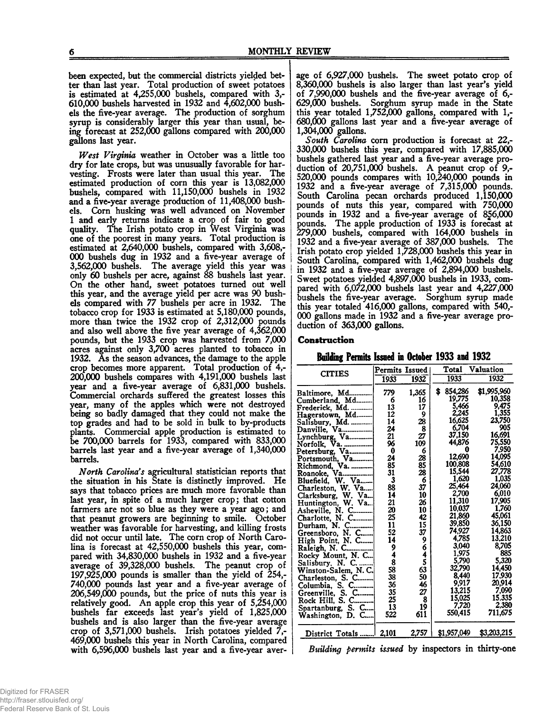been expected, but the commercial districts yielded better than last year. Total production of sweet potatoes is estimated at 4,255,000 bushels, compared with 3,- 610.000 bushels harvested in 1932 and 4,602,000 bushels the five-year average. The production of sorghum syrup is considerably larger this year than usual, being forecast at 252,000 gallons compared with 200,000 gallons last year.

*West Virginia* weather in October was a little too dry for late crops, but was unusually favorable for harvesting. Frosts were later than usual this year. The estimated production of corn this year is 13,082,000 bushels, compared with 11,150,000 bushels in 1932 and a five-year average production of 11,408,000 bushels. Corn husking was well advanced on November 1 and early returns indicate a crop of fair to good quality. The Irish potato crop in West Virginia was one of the poorest in many years. Total production is estimated at 2,640,000 bushels, compared with 3,608,- 000 bushels dug in 1932 and a five-year average of 3.562.000 bushels. The average yield this year was only 60 bushels per acre, against 88 bushels last year. On the other hand, sweet potatoes turned out well this year, and the average yield per acre was 90 bushds compared with 77 bushels per acre in 1932. The tobacco crop for 1933 is estimated at 5,180,000 pounds, more than twice the 1932 crop of 2,312,000 pounds and also well above the five year average of 4,362,000 pounds, but the 1933 crop was harvested from 7,000 acres against only 3,700 acres planted to tobacco in 1932. As the season advances, the damage to the apple crop becomes more apparent. Total production of 4,- 200.000 bushels compares with 4,191,000 bushels last year and a five-year average of 6,831,000 bushels. Commercial orchards suffered the greatest losses this year, many of the apples which were not destroyed being so badly damaged that they could not make the top grades and had to be sold in bulk to by-products plants. Commercial apple production is estimated to be 700,000 barrels for 1933, compared with 833,000 barrels last year and a five-year average of 1,340,000 barrels.

*North Carolina's* agricultural statistician reports that the situation in his State is distinctly improved. He says that tobacco prices are much more favorable than last year, in spite of a much larger crop; that cotton farmers are not so blue as they were a year ago; and that peanut growers are beginning to smile. October weather was favorable for harvesting, and killing frosts did not occur until late. The corn crop of North Carolina is forecast at 42,550,000 bushels this year, compared with 34,830,000 bushels in 1932 and a five-year average of 39,328,000 bushels. The peanut crop of 197.925.000 pounds is smaller than the yield of 254,- 740.000 pounds last year and a five-year average of 206.549.000 pounds, but the price of nuts this year is relatively good. An apple crop this year of 5,254,000 bushels far exceeds last year's yield of 1,825,000 bushels and is also larger than the five-year average crop of 3,571,000 bushels. Irish potatoes yielded 7,- 469.000 bushels this year in North Carolina, compared with 6,596,000 bushels last year and a five-year aver-

age of 6,927,000 bushels. The sweet potato crop of 8.360.000 bushels is also larger than last year's yield of 7,990,000 bushels and the five-year average of 6,- 629.000 bushels. Sorghum syrup made in the State this year totaled 1,752,000 gallons, compared with 1,- 680.000 gallons last year and a five-year average of 1.304.000 gallons.

*South Carolina* com production is forecast at 22,- 330.000 bushels this year, compared with 17,885,000 bushels gathered last year and a five-year average production of 20,751,000 bushels. A peanut crop of 9,- 520.000 pounds compares with 10,240,000 pounds in 1932 and a five-year average of 7,315,000 pounds. South Carolina pecan orchards produced 1,150,000 pounds of nuts this year, compared with 750,000 pounds in 1932 and a five-year average of 856,000 pounds. The apple production of 1933 is forecast at 279.000 bushels, compared with 164,000 bushels in 1932 and a five-year average of 387,000 bushels. The Irish potato crop yielded 1,728,000 bushels this year in South Carolina, compared with 1,462,000 bushels dug in 1932 and a five-year average of 2,894,000 bushels. Sweet potatoes yielded 4,897,000 bushels in 1933, compared with 6,072,000 bushels last year and 4,227,000 bushels the five-year average. Sorghum syrup made this year totaled 416,000 gallons, compared with 540,- 000 gallons made in 1932 and a five-year average production of 363,000 gallons.

#### **Construction**

**Building Permits Issued in October 1933 and 1932**

| <b>CITIES</b>       | Permits Issued |               |               | Total Valuation |
|---------------------|----------------|---------------|---------------|-----------------|
|                     | 1933           | 1932          | 1933          | 1932            |
| Baltimore, Md       | 779            | 1,365         | \$<br>854.286 | \$1,995,960     |
| Cumberland, Md      | 6              | 16            | 19.775        | 10,358          |
| Frederick, Md.      | 13             | 17            | 5,466         | 9,475           |
| Hagerstown, Md      | 12             |               | 2,245         | 1.355           |
| Salisbury, Md.      | 14             |               | 16,625        | 23,750          |
| Danville, Va        | 24             | $\frac{9}{8}$ | 6.704         | 905             |
| Lynchburg, Va       | 21             | 27            | 37,150        | 16,691          |
| Norfolk.<br>Va.     | 96             | 109           | 44,876        | 75,550          |
| Petersburg, Va      | 0              | 6             | A             | 7,950           |
| Portsmouth, Va      | 24             | 28            | 12,690        | 14,095          |
|                     | 85             | 85            | 100,808       | 54,610          |
|                     | 31             | 28            | 15,544        | 27,778          |
| Bluefield, W. Va    | 3              | 6             | 1,620         | 1,035           |
| Charleston, W. Va   | 88             | 37            | 25,464        | 24,060          |
| Clarksburg, W. Va   | 14             | 10            | 2,700         | 6,010           |
| Huntington, W. Va   | 21             | 26            | 11,310        | 17,905          |
| Asheville, N. C     | 20             | 10            | 10,037        | 1.760           |
| Charlotte, N. C     | 25             | 42            | 21,860        | 45,061          |
| Durham, N. C        | 11             | 15            | 39,850        | 36.150          |
| Greensboro, N. C    | 52             | 37            | 74,927        | 14,863          |
|                     | 14             | 9             | 4,785         | 13.210          |
| High Point, N. C    | 9              | 6             | 3,040         | 8,705           |
| Raleigh, N. C       | 4              | 4             | 1,975         | 885             |
| Rocky Mount, N. C   | 8              | 5             | 5,790         | 5.320           |
| Salisbury, N. C     | 58             |               | 32,790        | 14.450          |
| Winston-Salem, N.C. | 38             | 63<br>50      | 8,440         | 17.930          |
| Charleston, S. C    | 36             | 46            | 9,917         | 20,914          |
| Columbia. S. C      |                |               | 13,215        | 7.090           |
| Greenville, S. C    | 35             | 27            | 15.025        | 15.335          |
| Rock Hill, S. C     | 25             | 8             | 7,720         | 2.380           |
| Spartanburg, S. C   | 13             | 19            | 550,415       | 711.675         |
| Washington, D. C    | 522            | 611           |               |                 |
| District Totals     | 2,101          | 2.757         | \$1,957,049   | \$3,203,215     |

*Building permits issued* by inspectors in thirty-one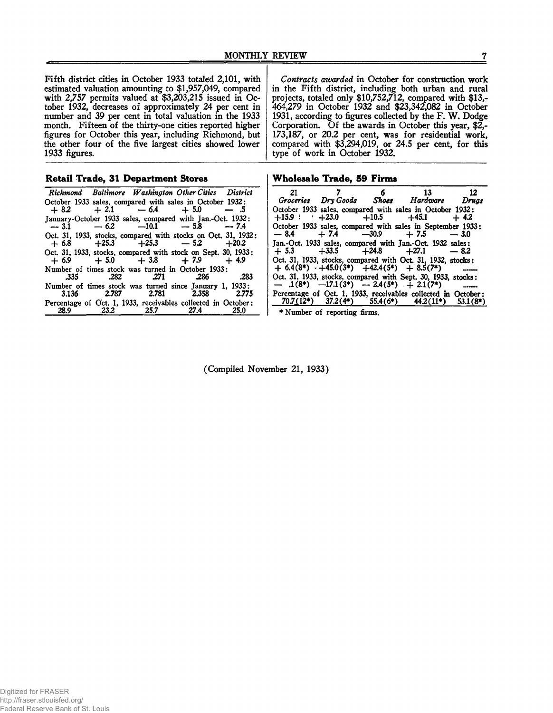Fifth district cities in October 1933 totaled 2,101, with estimated valuation amounting to \$1,957,049, compared with 2,757 permits valued at \$3,203,215 issued in October 1932, decreases of approximately 24 per cent in number and 39 per cent in total valuation in the 1933 month. Fifteen of the thirty-one cities reported higher figures for October this year, including Richmond, but the other four of the five largest cities showed lower 1933 figures.

| <b>Retail Trade, 31 Department Stores</b> |  |  |  |  |  |
|-------------------------------------------|--|--|--|--|--|
|-------------------------------------------|--|--|--|--|--|

*Richmond Baltimore Washington Other Cities District* October 1933 sales, compared with sales in October 1932:<br>+ 8.2 + 2.1 - 6.4 + 5.0 - 5  $-6.4$   $+5.0$ January-October 1933 sales, compared with Jan.-Oct. 1932: — 3.1 — *62* —10.1 — 5.8 — 7.4 Oct. 31, 1933, stocks, compared with stocks on Oct. 31, 1932:<br>
+ 6.8 + 25.3 + 25.3 - 5.2 + 20.2 Oct. 31, 1933, stocks, compared with stock on Sept. 30, 1933:  $+ 6.9 + 5.0 + 3.8 + 7.9 + 4.9$ Number of times stock was turned in October 1933: .335 282 .271 .286 .283 Number of times stock was turned since January 1, 1933: 3.136 2.787 2.781 2.358 2.775 Percentage of Oct. 1, 1933, receivables collected in October: 28.9 *232*\_\_\_\_\_\_\_257\_\_\_\_\_\_\_274\_\_\_\_\_\_\_25.0

*Contracts awarded* in October for construction work in the Fifth district, including both urban and rural projects, totaled only \$10,752,712, compared with \$13,- 464,279 in October 1932 and \$23,342,082 in October 1931, according to figures collected by the F. W. Dodge Corporation. Of the awards in October this year, \$2,- 173,187, or 20.2 per cent, was for residential work, compared with \$3,294,019, or 24.5 per cent, for this type of work in October 1932.

|  | Wholesale Trade, 59 Firms |  |  |  |
|--|---------------------------|--|--|--|
|--|---------------------------|--|--|--|

| 21     | $\overline{7}$                  | 6 13 12                                                                                                            |            |
|--------|---------------------------------|--------------------------------------------------------------------------------------------------------------------|------------|
|        |                                 | Groceries DryGoods Shoes Hardware Drugs                                                                            |            |
|        | $+15.9$ $+23.0$ $+10.5$ $+45.1$ | October 1933 sales, compared with sales in October 1932:                                                           | $+4.2$     |
| $-8.4$ |                                 | October 1933 sales, compared with sales in September 1933:<br>$+7.4$ $-30.9$ $+7.5$ $-3.0$                         |            |
|        |                                 | Jan.-Oct. 1933 sales, compared with Jan.-Oct. 1932 sales:<br>$+5.3$ $+33.5$ $+24.8$ $+27.1$ $-8.2$                 |            |
|        |                                 | Oct. 31, 1933, stocks, compared with Oct. 31, 1932, stocks:<br>$+ 6.4(8*) + 45.0(3*) + 42.4(5*) + 8.5(7*)$         |            |
|        |                                 | Oct. 31, 1933, stocks, compared with Sept. 30, 1933, stocks:<br>$-1(8^*)$ $-17.1(3^*)$ $-2.4(5^*)$ $+2.1(7^*)$     |            |
|        |                                 | Percentage of Oct. 1, 1933, receivables collected in October:<br>$70.7(12^*)$ $37.2(4^*)$ $55.4(6^*)$ $44.2(11^*)$ | $53.1(8*)$ |

♦Number of reporting firms.

(Compiled November 21, 1933)